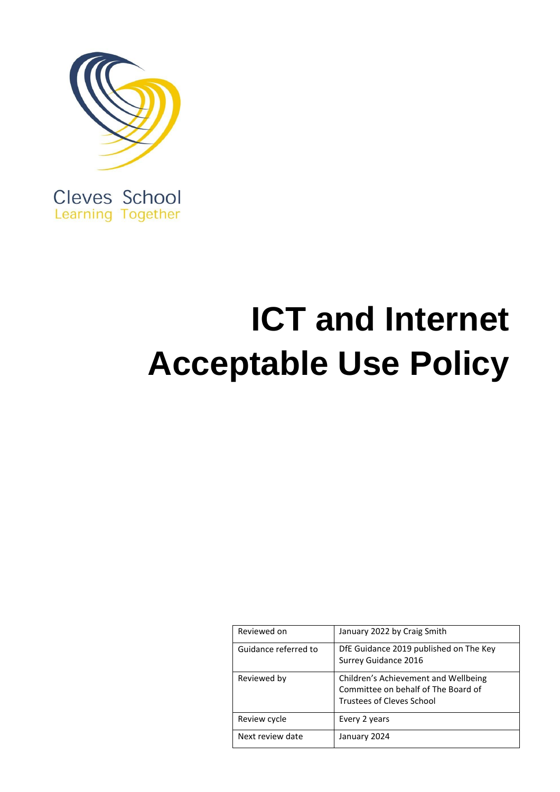

Cleves School Learning Together

# **ICT and Internet Acceptable Use Policy**

| Reviewed on          | January 2022 by Craig Smith                                                                                     |
|----------------------|-----------------------------------------------------------------------------------------------------------------|
| Guidance referred to | DfE Guidance 2019 published on The Key<br>Surrey Guidance 2016                                                  |
| Reviewed by          | Children's Achievement and Wellbeing<br>Committee on behalf of The Board of<br><b>Trustees of Cleves School</b> |
| Review cycle         | Every 2 years                                                                                                   |
| Next review date     | January 2024                                                                                                    |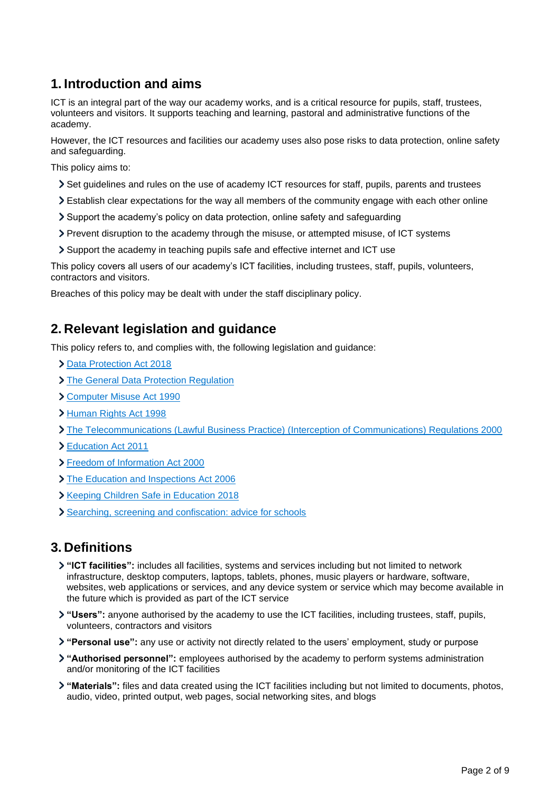# **1. Introduction and aims**

ICT is an integral part of the way our academy works, and is a critical resource for pupils, staff, trustees, volunteers and visitors. It supports teaching and learning, pastoral and administrative functions of the academy.

However, the ICT resources and facilities our academy uses also pose risks to data protection, online safety and safeguarding.

This policy aims to:

- Set guidelines and rules on the use of academy ICT resources for staff, pupils, parents and trustees
- Establish clear expectations for the way all members of the community engage with each other online
- Support the academy's policy on data protection, online safety and safeguarding
- Prevent disruption to the academy through the misuse, or attempted misuse, of ICT systems
- Support the academy in teaching pupils safe and effective internet and ICT use

This policy covers all users of our academy's ICT facilities, including trustees, staff, pupils, volunteers, contractors and visitors.

Breaches of this policy may be dealt with under the staff disciplinary policy.

## **2. Relevant legislation and guidance**

This policy refers to, and complies with, the following legislation and guidance:

- [Data Protection Act 2018](http://www.legislation.gov.uk/ukpga/2018/12/contents/enacted)
- > [The General Data Protection Regulation](https://eur-lex.europa.eu/legal-content/EN/TXT/HTML/?uri=CELEX:32016R0679)
- [Computer Misuse Act 1990](https://www.legislation.gov.uk/ukpga/1990/18/contents)
- [Human Rights Act 1998](https://www.legislation.gov.uk/ukpga/1998/42/contents)
- [The Telecommunications \(Lawful Business Practice\) \(Interception of Communications\) Regulations 2000](https://www.legislation.gov.uk/uksi/2000/2699/regulation/3/made)
- [Education Act 2011](http://www.legislation.gov.uk/ukpga/2011/21/section/2/enacted)
- [Freedom of Information Act 2000](https://www.legislation.gov.uk/ukpga/2000/36/contents)
- > [The Education and Inspections Act 2006](https://www.legislation.gov.uk/ukpga/2006/40/part/7/chapter/1)
- **X** [Keeping Children Safe in Education 2018](https://www.gov.uk/government/publications/keeping-children-safe-in-education--2)
- [Searching, screening and confiscation: advice for schools](https://www.gov.uk/government/publications/searching-screening-and-confiscation)

## **3. Definitions**

- **"ICT facilities":** includes all facilities, systems and services including but not limited to network infrastructure, desktop computers, laptops, tablets, phones, music players or hardware, software, websites, web applications or services, and any device system or service which may become available in the future which is provided as part of the ICT service
- **"Users":** anyone authorised by the academy to use the ICT facilities, including trustees, staff, pupils, volunteers, contractors and visitors
- **"Personal use":** any use or activity not directly related to the users' employment, study or purpose
- **"Authorised personnel":** employees authorised by the academy to perform systems administration and/or monitoring of the ICT facilities
- **"Materials":** files and data created using the ICT facilities including but not limited to documents, photos, audio, video, printed output, web pages, social networking sites, and blogs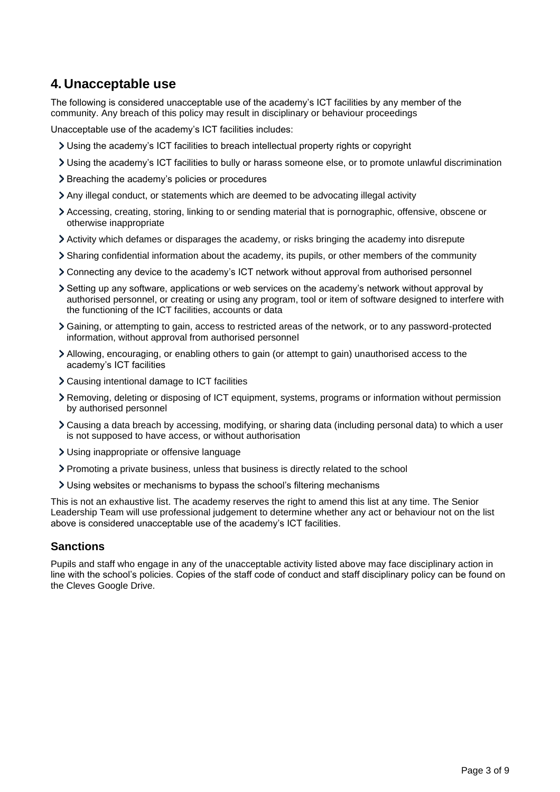## **4. Unacceptable use**

The following is considered unacceptable use of the academy's ICT facilities by any member of the community. Any breach of this policy may result in disciplinary or behaviour proceedings

Unacceptable use of the academy's ICT facilities includes:

- Using the academy's ICT facilities to breach intellectual property rights or copyright
- Using the academy's ICT facilities to bully or harass someone else, or to promote unlawful discrimination
- > Breaching the academy's policies or procedures
- Any illegal conduct, or statements which are deemed to be advocating illegal activity
- Accessing, creating, storing, linking to or sending material that is pornographic, offensive, obscene or otherwise inappropriate
- Activity which defames or disparages the academy, or risks bringing the academy into disrepute
- Sharing confidential information about the academy, its pupils, or other members of the community
- Connecting any device to the academy's ICT network without approval from authorised personnel
- Setting up any software, applications or web services on the academy's network without approval by authorised personnel, or creating or using any program, tool or item of software designed to interfere with the functioning of the ICT facilities, accounts or data
- Gaining, or attempting to gain, access to restricted areas of the network, or to any password-protected information, without approval from authorised personnel
- Allowing, encouraging, or enabling others to gain (or attempt to gain) unauthorised access to the academy's ICT facilities
- Causing intentional damage to ICT facilities
- Removing, deleting or disposing of ICT equipment, systems, programs or information without permission by authorised personnel
- Causing a data breach by accessing, modifying, or sharing data (including personal data) to which a user is not supposed to have access, or without authorisation
- Using inappropriate or offensive language
- Promoting a private business, unless that business is directly related to the school
- Using websites or mechanisms to bypass the school's filtering mechanisms

This is not an exhaustive list. The academy reserves the right to amend this list at any time. The Senior Leadership Team will use professional judgement to determine whether any act or behaviour not on the list above is considered unacceptable use of the academy's ICT facilities.

#### **Sanctions**

Pupils and staff who engage in any of the unacceptable activity listed above may face disciplinary action in line with the school's policies. Copies of the staff code of conduct and staff disciplinary policy can be found on the Cleves Google Drive.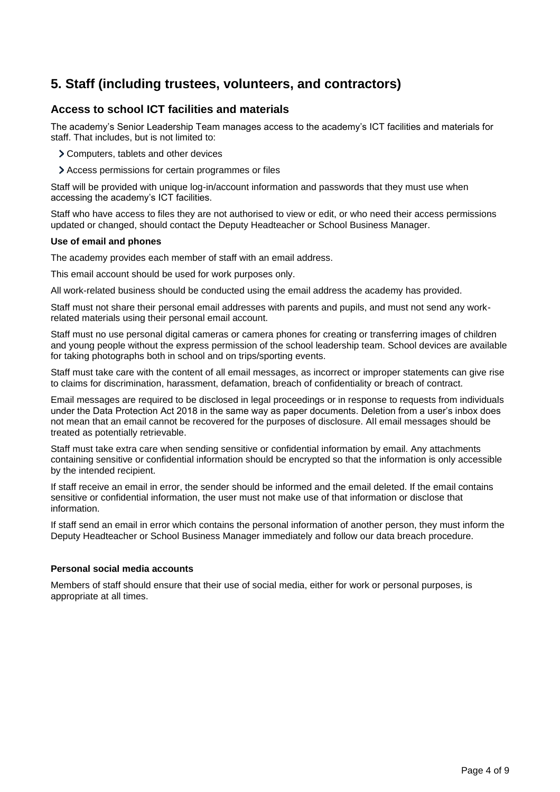# **5. Staff (including trustees, volunteers, and contractors)**

## **Access to school ICT facilities and materials**

The academy's Senior Leadership Team manages access to the academy's ICT facilities and materials for staff. That includes, but is not limited to:

Computers, tablets and other devices

Access permissions for certain programmes or files

Staff will be provided with unique log-in/account information and passwords that they must use when accessing the academy's ICT facilities.

Staff who have access to files they are not authorised to view or edit, or who need their access permissions updated or changed, should contact the Deputy Headteacher or School Business Manager.

#### **Use of email and phones**

The academy provides each member of staff with an email address.

This email account should be used for work purposes only.

All work-related business should be conducted using the email address the academy has provided.

Staff must not share their personal email addresses with parents and pupils, and must not send any workrelated materials using their personal email account.

Staff must no use personal digital cameras or camera phones for creating or transferring images of children and young people without the express permission of the school leadership team. School devices are available for taking photographs both in school and on trips/sporting events.

Staff must take care with the content of all email messages, as incorrect or improper statements can give rise to claims for discrimination, harassment, defamation, breach of confidentiality or breach of contract.

Email messages are required to be disclosed in legal proceedings or in response to requests from individuals under the Data Protection Act 2018 in the same way as paper documents. Deletion from a user's inbox does not mean that an email cannot be recovered for the purposes of disclosure. All email messages should be treated as potentially retrievable.

Staff must take extra care when sending sensitive or confidential information by email. Any attachments containing sensitive or confidential information should be encrypted so that the information is only accessible by the intended recipient.

If staff receive an email in error, the sender should be informed and the email deleted. If the email contains sensitive or confidential information, the user must not make use of that information or disclose that information.

If staff send an email in error which contains the personal information of another person, they must inform the Deputy Headteacher or School Business Manager immediately and follow our data breach procedure.

#### **Personal social media accounts**

Members of staff should ensure that their use of social media, either for work or personal purposes, is appropriate at all times.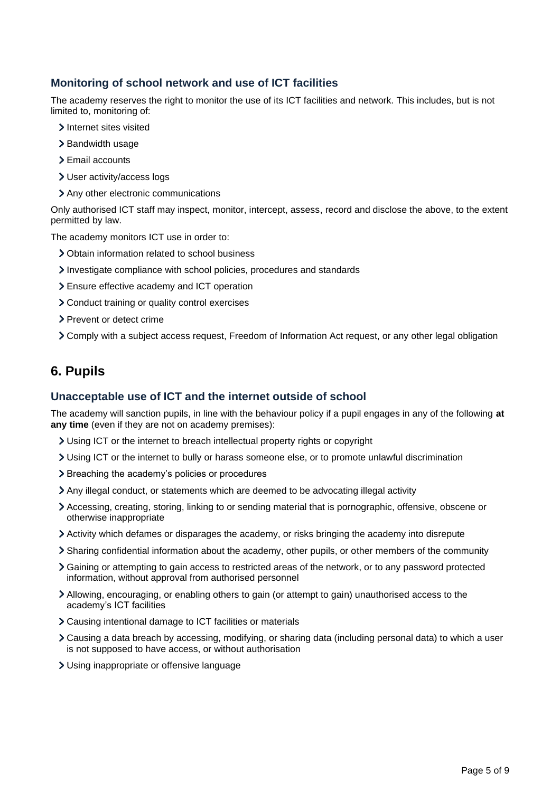#### **Monitoring of school network and use of ICT facilities**

The academy reserves the right to monitor the use of its ICT facilities and network. This includes, but is not limited to, monitoring of:

- > Internet sites visited
- > Bandwidth usage
- > Email accounts
- User activity/access logs
- Any other electronic communications

Only authorised ICT staff may inspect, monitor, intercept, assess, record and disclose the above, to the extent permitted by law.

The academy monitors ICT use in order to:

- Obtain information related to school business
- Investigate compliance with school policies, procedures and standards
- Ensure effective academy and ICT operation
- Conduct training or quality control exercises
- > Prevent or detect crime
- Comply with a subject access request, Freedom of Information Act request, or any other legal obligation

## **6. Pupils**

#### **Unacceptable use of ICT and the internet outside of school**

The academy will sanction pupils, in line with the behaviour policy if a pupil engages in any of the following **at any time** (even if they are not on academy premises):

- Using ICT or the internet to breach intellectual property rights or copyright
- Using ICT or the internet to bully or harass someone else, or to promote unlawful discrimination
- > Breaching the academy's policies or procedures
- Any illegal conduct, or statements which are deemed to be advocating illegal activity
- Accessing, creating, storing, linking to or sending material that is pornographic, offensive, obscene or otherwise inappropriate
- Activity which defames or disparages the academy, or risks bringing the academy into disrepute
- Sharing confidential information about the academy, other pupils, or other members of the community
- Gaining or attempting to gain access to restricted areas of the network, or to any password protected information, without approval from authorised personnel
- Allowing, encouraging, or enabling others to gain (or attempt to gain) unauthorised access to the academy's ICT facilities
- Causing intentional damage to ICT facilities or materials
- Causing a data breach by accessing, modifying, or sharing data (including personal data) to which a user is not supposed to have access, or without authorisation
- Using inappropriate or offensive language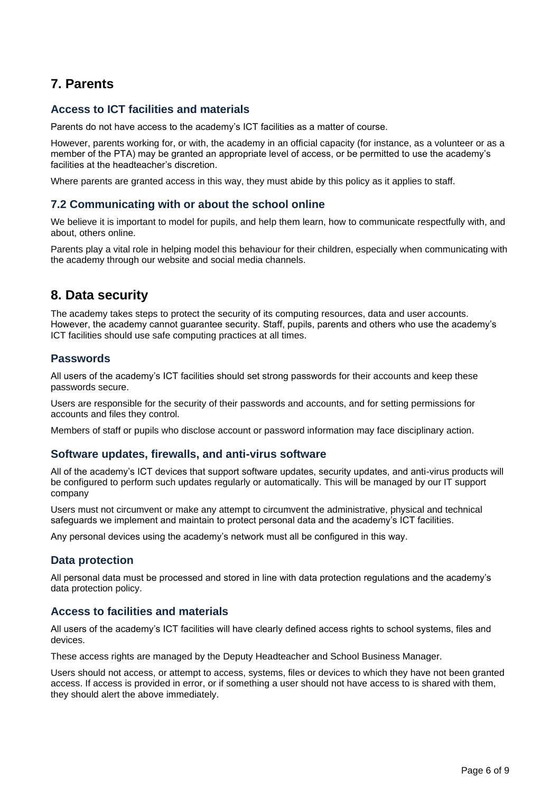# **7. Parents**

## **Access to ICT facilities and materials**

Parents do not have access to the academy's ICT facilities as a matter of course.

However, parents working for, or with, the academy in an official capacity (for instance, as a volunteer or as a member of the PTA) may be granted an appropriate level of access, or be permitted to use the academy's facilities at the headteacher's discretion.

Where parents are granted access in this way, they must abide by this policy as it applies to staff.

#### **7.2 Communicating with or about the school online**

We believe it is important to model for pupils, and help them learn, how to communicate respectfully with, and about, others online.

Parents play a vital role in helping model this behaviour for their children, especially when communicating with the academy through our website and social media channels.

## **8. Data security**

The academy takes steps to protect the security of its computing resources, data and user accounts. However, the academy cannot guarantee security. Staff, pupils, parents and others who use the academy's ICT facilities should use safe computing practices at all times.

#### **Passwords**

All users of the academy's ICT facilities should set strong passwords for their accounts and keep these passwords secure.

Users are responsible for the security of their passwords and accounts, and for setting permissions for accounts and files they control.

Members of staff or pupils who disclose account or password information may face disciplinary action.

#### **Software updates, firewalls, and anti-virus software**

All of the academy's ICT devices that support software updates, security updates, and anti-virus products will be configured to perform such updates regularly or automatically. This will be managed by our IT support company

Users must not circumvent or make any attempt to circumvent the administrative, physical and technical safeguards we implement and maintain to protect personal data and the academy's ICT facilities.

Any personal devices using the academy's network must all be configured in this way.

#### **Data protection**

All personal data must be processed and stored in line with data protection regulations and the academy's data protection policy.

#### **Access to facilities and materials**

All users of the academy's ICT facilities will have clearly defined access rights to school systems, files and devices.

These access rights are managed by the Deputy Headteacher and School Business Manager.

Users should not access, or attempt to access, systems, files or devices to which they have not been granted access. If access is provided in error, or if something a user should not have access to is shared with them, they should alert the above immediately.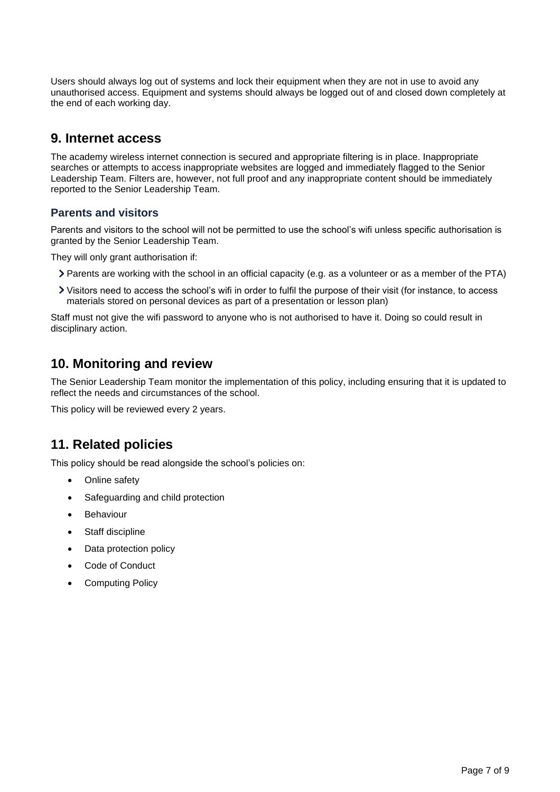Users should always log out of systems and lock their equipment when they are not in use to avoid any unauthorised access. Equipment and systems should always be logged out of and closed down completely at the end of each working day.

## **9. Internet access**

The academy wireless internet connection is secured and appropriate filtering is in place. Inappropriate searches or attempts to access inappropriate websites are logged and immediately flagged to the Senior Leadership Team. Filters are, however, not full proof and any inappropriate content should be immediately reported to the Senior Leadership Team.

## **Parents and visitors**

Parents and visitors to the school will not be permitted to use the school's wifi unless specific authorisation is granted by the Senior Leadership Team.

They will only grant authorisation if:

- Parents are working with the school in an official capacity (e.g. as a volunteer or as a member of the PTA)
- Visitors need to access the school's wifi in order to fulfil the purpose of their visit (for instance, to access materials stored on personal devices as part of a presentation or lesson plan)

Staff must not give the wifi password to anyone who is not authorised to have it. Doing so could result in disciplinary action.

# **10. Monitoring and review**

The Senior Leadership Team monitor the implementation of this policy, including ensuring that it is updated to reflect the needs and circumstances of the school.

This policy will be reviewed every 2 years.

# **11. Related policies**

This policy should be read alongside the school's policies on:

- Online safety
- Safeguarding and child protection
- **Behaviour**
- Staff discipline
- Data protection policy
- Code of Conduct
- Computing Policy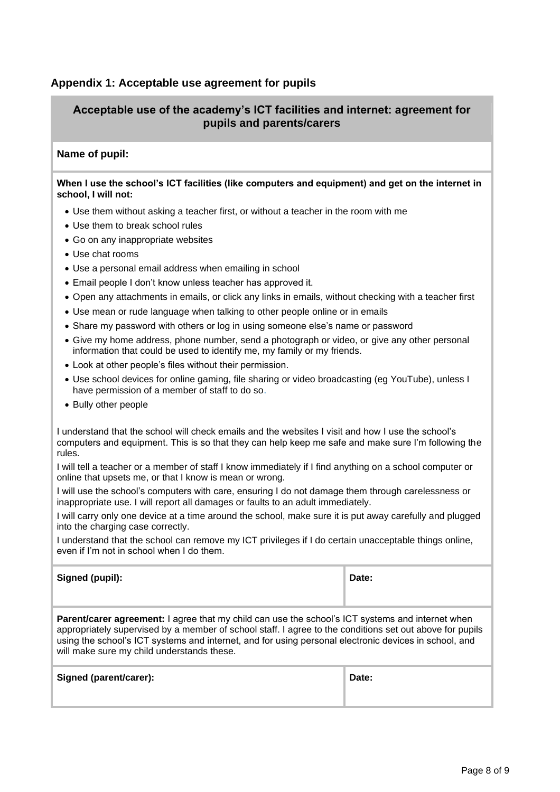## **Appendix 1: Acceptable use agreement for pupils**

## **Acceptable use of the academy's ICT facilities and internet: agreement for pupils and parents/carers**

#### **Name of pupil:**

#### **When I use the school's ICT facilities (like computers and equipment) and get on the internet in school, I will not:**

- Use them without asking a teacher first, or without a teacher in the room with me
- Use them to break school rules
- Go on any inappropriate websites
- Use chat rooms
- Use a personal email address when emailing in school
- Email people I don't know unless teacher has approved it.
- Open any attachments in emails, or click any links in emails, without checking with a teacher first
- Use mean or rude language when talking to other people online or in emails
- Share my password with others or log in using someone else's name or password
- Give my home address, phone number, send a photograph or video, or give any other personal information that could be used to identify me, my family or my friends.
- Look at other people's files without their permission.
- Use school devices for online gaming, file sharing or video broadcasting (eg YouTube), unless I have permission of a member of staff to do so.
- Bully other people

I understand that the school will check emails and the websites I visit and how I use the school's computers and equipment. This is so that they can help keep me safe and make sure I'm following the rules.

I will tell a teacher or a member of staff I know immediately if I find anything on a school computer or online that upsets me, or that I know is mean or wrong.

I will use the school's computers with care, ensuring I do not damage them through carelessness or inappropriate use. I will report all damages or faults to an adult immediately.

I will carry only one device at a time around the school, make sure it is put away carefully and plugged into the charging case correctly.

I understand that the school can remove my ICT privileges if I do certain unacceptable things online, even if I'm not in school when I do them.

| Signed (pupil): | Date: |
|-----------------|-------|
|                 |       |

**Parent/carer agreement:** I agree that my child can use the school's ICT systems and internet when appropriately supervised by a member of school staff. I agree to the conditions set out above for pupils using the school's ICT systems and internet, and for using personal electronic devices in school, and will make sure my child understands these.

| <b>Signed (parent/carer):</b> | Date: |
|-------------------------------|-------|
|                               |       |